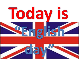# **Todav is**



FejaN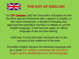

**THE DAY OF ENGLISH**

On **13th October** 1362 the Chancellor of England for the first time opened Parliament with a speech in English. In that same Parliament, a *Statute of Pleading* was approved that permitted members in debate to use the English language. It had become again an official language of law and law-making.

Until then, French had been dominant due to the ancestry of the noblemen of the time.

Thereafter English became the dominant language and as a result *13th October symbolizes the survival of English and its development as a world language*.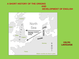#### **A SHORT HISTORY OF THE ORIGINS AND DEVELOPMENT OF ENGLISH**



**CELTIC LANGUAGE**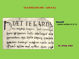#### **OLD ENGLISH (450 - 1100 A.D.)**

**DEF** 
$$
\sum_{n=1}^{n} P.E. G. A R D B
$$
  
\n $\sum_{m=1}^{n} P.E. G. A R D B$   
\n $\sum_{m=1}^{n} P F$   
\n $\sum_{m=1}^{n} P F$   
\n $\sum_{m=1}^{n} P F$   
\n $\sum_{m=1}^{n} P F$   
\n $\sum_{m=1}^{n} P F$   
\n $\sum_{m=1}^{n} P F$   
\n $\sum_{m=1}^{n} P F$   
\n $\sum_{m=1}^{n} P F$   
\n $\sum_{m=1}^{n} P F$   
\n $\sum_{m=1}^{n} P F$   
\n $\sum_{m=1}^{n} P F$   
\n $\sum_{m=1}^{n} P F$   
\n $\sum_{m=1}^{n} P F$   
\n $\sum_{m=1}^{n} P F$   
\n $\sum_{m=1}^{n} P F$   
\n $\sum_{m=1}^{n} P F$   
\n $\sum_{m=1}^{n} P F$   
\n $\sum_{m=1}^{n} P F$   
\n $\sum_{m=1}^{n} P F$   
\n $\sum_{m=1}^{n} P F$   
\n $\sum_{m=1}^{n} P F$   
\n $\sum_{m=1}^{n} P F$   
\n $\sum_{m=1}^{n} P F$   
\n $\sum_{m=1}^{n} P F$   
\n $\sum_{m=1}^{n} P F$   
\n $\sum_{m=1}^{n} P F$   
\n $\sum_{m=1}^{n} P F$   
\n $\sum_{m=1}^{n} P F$   
\n $\sum_{m=1}^{n} P F$   
\n $\sum_{m=1}^{n} P F$   
\n $\sum_{m$ 

#### *Beowulf*

**- poem written in O. E.**

*be, strong, water*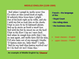#### **MIDDLE ENGLISH (1100-1500)**

And whan I sawgh he wolde never fine To reden on this cursed book al night, Af sodeinly three leves have I plight Out of his book right as he redde, and eke I with my fist so took him on the cheeke That in oure fir he fil bakwaro adown. And up he sterte as dooth a wood leon And with his fist he smoot me on the heed That in the floor I lay as I were SeeS. And whan he swaah how stille that I lay, the was agast, and wolde have fled his way. Till atte laste out of my swough I braise: "© hastou slain me, false thief?" I saiδe, "And for my land thus hastou mordred me?  $Er I be See\delta$  pit wol I kisse thee."

**An example of Middle English by** *Chaucer*

**French – the language of the:**

- **Royal Court**
- **the ruling class**
- **the business class**

- lower classes English
- upper classes French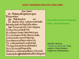#### **EARLY MODERN ENGLISH (1500-1800)**

Enter Hamlet. Cor. Madame, will it pleafe your grace To leaue vshere?

Que. With all my hart. exit. Cor. And here Ofelia, reade you on this booke, And walke aloofe, the King thal be vnfeene.

Ham. To be, or not to be, I there's the point, To Die, to fleepe, is that all! I all: No, to fleepe, to dreame, I mary there it goes, For in that dreame of death, when wee awake, And borne before an euerlafting Indge, From whence no paffenger euer returnd, The vndifcouered country, at whole fight The happy finile, and the accurled damn d. But for this, the ioyfull hope of this, Whol'd beare the fcornes and flattery of the world, Scorned by the right rich, the rich curffed of the poore?

• new words entered the language

• 1604 – the first dictionary

Hamlet's famous *"To be, or not to be"* lines, written in Early Modern English by Shakespeare.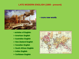#### **LATE MODERN ENGLISH (1800 - present)**



- **varieties of English:**
- **American English**
- **Australian English**
- **New Zealand English**
- **Canadian English**
- **South African English**
- **Indian English**
- **Caribbean English**

# THE WORLD The British Possessions

#### • **more new words**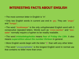### **INTERESTING FACTS ABOUT ENGLISH**

- The most common letter in English is "e".
- Only two English words in current use end in -gry. They are "angry" and "hungry".
- The word "bookkeeper" is the only unhyphenated English word with 3 consecutive repeated letters. Words such as "cross-section" and "beeeater" normally require a hyphen to be readily readable.
- The word *triskaidekaphobia* means *fear of Friday the 13th*. It also means *superstition about the number thirteen* in general.
- More English words begin with the letter "s" than with any other letter.
- The word "uncopyrightable" is the longest English word in normal use that contains no letter more than once.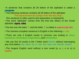- A sentence that contains all 26 letters of the alphabet is called a *pangram*.
- The following sentence contains all 26 letters of the alphabet: "**The quick brown fox jumps over the lazy dog"**.

This sentence is often used to test typewriters or keyboards.

• The word "alphabet" comes from the first two letters of the Greek alphabet: **alpha, bēta.**

- •The dot over the letter "I" and the letter "j" is called a *superscript dot*.
- The shortest complete sentence in English is the following I am.
- There are only 4 English words in common use ending in -dous: hazardous, horrendous, stupendous, and tremendous.
- We can find 10 words in the 7-letter word therein without rearranging any of its letters: *the, there, he, in, rein, her, here, ere, therein, herein*.
- The longest English word without a true vowel (a, e, i, o or u) is rhythm.